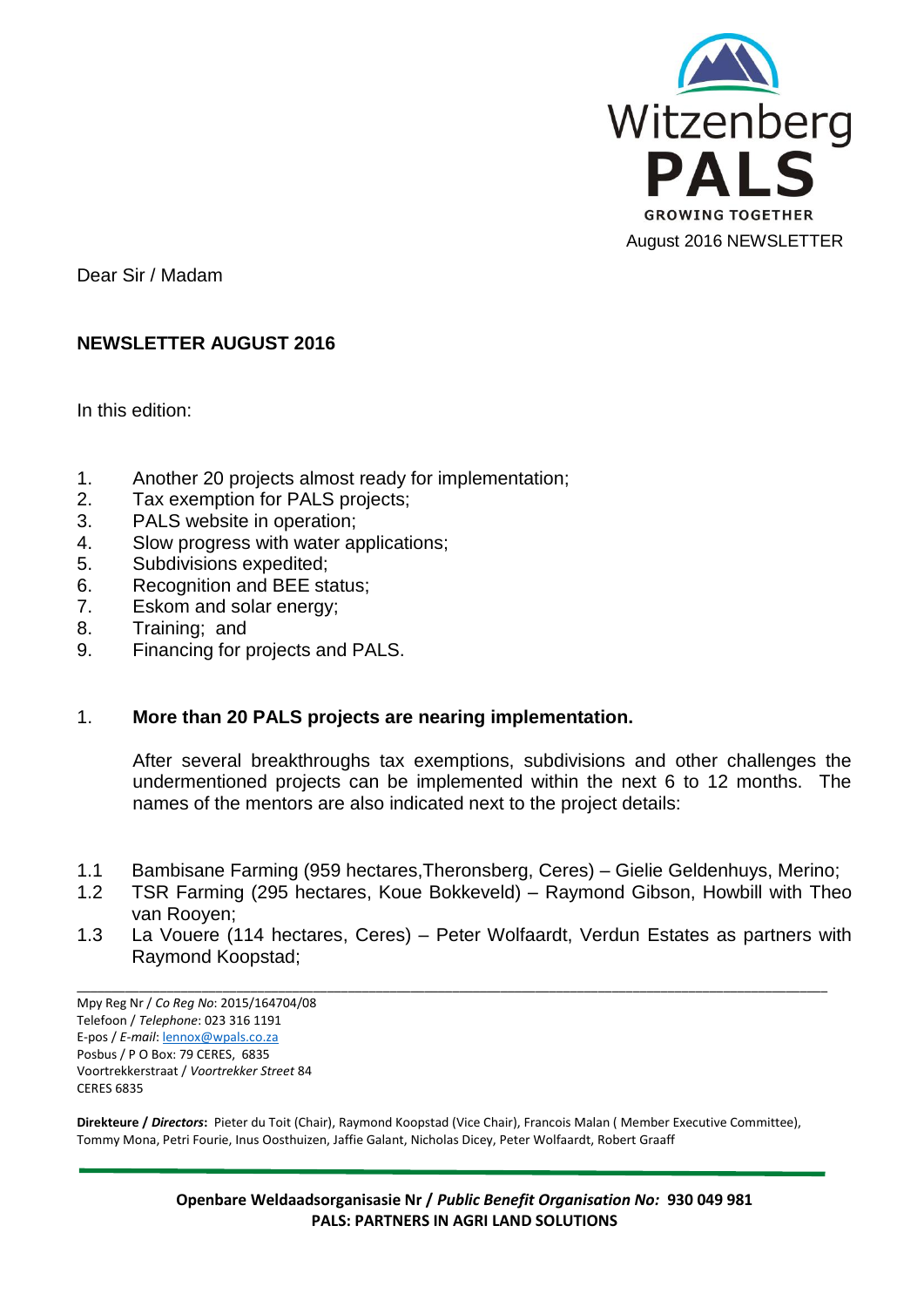

Dear Sir / Madam

# **NEWSLETTER AUGUST 2016**

In this edition:

- 1. Another 20 projects almost ready for implementation;
- 2. Tax exemption for PALS projects;
- 3. PALS website in operation;
- 4. Slow progress with water applications;
- 5. Subdivisions expedited;
- 6. Recognition and BEE status;
- 7. Eskom and solar energy;
- 8. Training; and
- 9. Financing for projects and PALS.

#### 1. **More than 20 PALS projects are nearing implementation.**

After several breakthroughs tax exemptions, subdivisions and other challenges the undermentioned projects can be implemented within the next 6 to 12 months. The names of the mentors are also indicated next to the project details:

- 1.1 Bambisane Farming (959 hectares,Theronsberg, Ceres) Gielie Geldenhuys, Merino;
- 1.2 TSR Farming (295 hectares, Koue Bokkeveld) Raymond Gibson, Howbill with Theo van Rooyen;
- 1.3 La Vouere (114 hectares, Ceres) Peter Wolfaardt, Verdun Estates as partners with Raymond Koopstad;

\_\_\_\_\_\_\_\_\_\_\_\_\_\_\_\_\_\_\_\_\_\_\_\_\_\_\_\_\_\_\_\_\_\_\_\_\_\_\_\_\_\_\_\_\_\_\_\_\_\_\_\_\_\_\_\_\_\_\_\_\_\_\_\_\_\_\_\_\_\_\_\_\_\_\_\_\_\_\_\_\_\_\_\_\_\_\_\_\_\_\_\_\_\_\_\_\_\_\_\_\_\_\_\_\_\_\_\_

Mpy Reg Nr / *Co Reg No*: 2015/164704/08 Telefoon / *Telephone*: 023 316 1191 E-pos / *E-mail*[: lennox@wpals.co.za](mailto:lennox@wpals.co.za) Posbus / P O Box: 79 CERES, 6835 Voortrekkerstraat / *Voortrekker Street* 84 CERES 6835

**Direkteure /** *Directors***:** Pieter du Toit (Chair), Raymond Koopstad (Vice Chair), Francois Malan ( Member Executive Committee), Tommy Mona, Petri Fourie, Inus Oosthuizen, Jaffie Galant, Nicholas Dicey, Peter Wolfaardt, Robert Graaff

> **Openbare Weldaadsorganisasie Nr /** *Public Benefit Organisation No:* **930 049 981 PALS: PARTNERS IN AGRI LAND SOLUTIONS**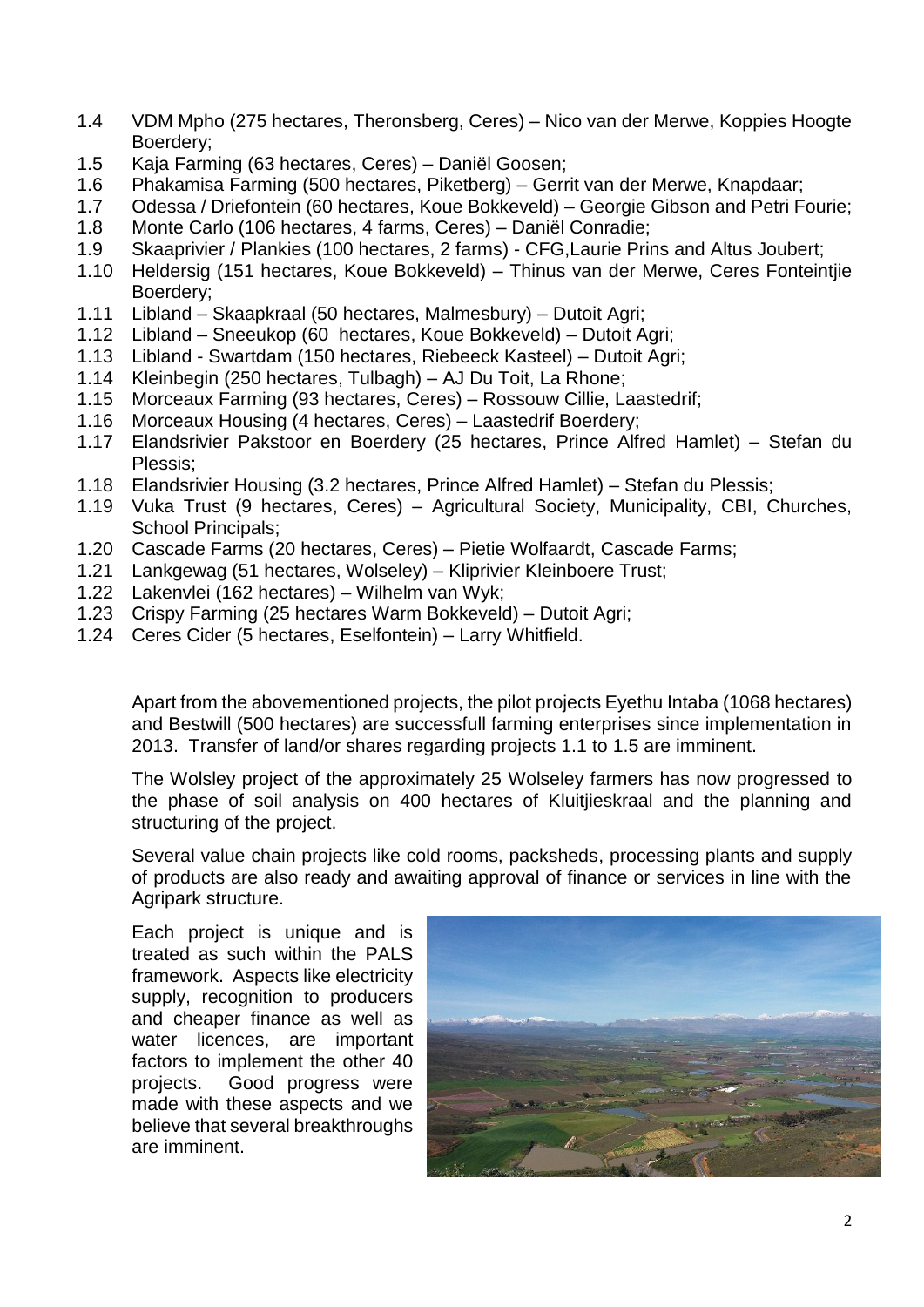- 1.4 VDM Mpho (275 hectares, Theronsberg, Ceres) Nico van der Merwe, Koppies Hoogte Boerdery;
- 1.5 Kaja Farming (63 hectares, Ceres) Daniël Goosen;
- 1.6 Phakamisa Farming (500 hectares, Piketberg) Gerrit van der Merwe, Knapdaar;
- 1.7 Odessa / Driefontein (60 hectares, Koue Bokkeveld) Georgie Gibson and Petri Fourie;
- 1.8 Monte Carlo (106 hectares, 4 farms, Ceres) Daniël Conradie;
- 1.9 Skaaprivier / Plankies (100 hectares, 2 farms) CFG,Laurie Prins and Altus Joubert;
- 1.10 Heldersig (151 hectares, Koue Bokkeveld) Thinus van der Merwe, Ceres Fonteintjie Boerdery;
- 1.11 Libland Skaapkraal (50 hectares, Malmesbury) Dutoit Agri;
- 1.12 Libland Sneeukop (60 hectares, Koue Bokkeveld) Dutoit Agri;
- 1.13 Libland Swartdam (150 hectares, Riebeeck Kasteel) Dutoit Agri;
- 1.14 Kleinbegin (250 hectares, Tulbagh) AJ Du Toit, La Rhone;
- 1.15 Morceaux Farming (93 hectares, Ceres) Rossouw Cillie, Laastedrif;
- 1.16 Morceaux Housing (4 hectares, Ceres) Laastedrif Boerdery;
- 1.17 Elandsrivier Pakstoor en Boerdery (25 hectares, Prince Alfred Hamlet) Stefan du Plessis;
- 1.18 Elandsrivier Housing (3.2 hectares, Prince Alfred Hamlet) Stefan du Plessis;
- 1.19 Vuka Trust (9 hectares, Ceres) Agricultural Society, Municipality, CBI, Churches, School Principals;
- 1.20 Cascade Farms (20 hectares, Ceres) Pietie Wolfaardt, Cascade Farms;
- 1.21 Lankgewag (51 hectares, Wolseley) Kliprivier Kleinboere Trust;
- 1.22 Lakenvlei (162 hectares) Wilhelm van Wyk;
- 1.23 Crispy Farming (25 hectares Warm Bokkeveld) Dutoit Agri;
- 1.24 Ceres Cider (5 hectares, Eselfontein) Larry Whitfield.

Apart from the abovementioned projects, the pilot projects Eyethu Intaba (1068 hectares) and Bestwill (500 hectares) are successfull farming enterprises since implementation in 2013. Transfer of land/or shares regarding projects 1.1 to 1.5 are imminent.

The Wolsley project of the approximately 25 Wolseley farmers has now progressed to the phase of soil analysis on 400 hectares of Kluitjieskraal and the planning and structuring of the project.

Several value chain projects like cold rooms, packsheds, processing plants and supply of products are also ready and awaiting approval of finance or services in line with the Agripark structure.

Each project is unique and is treated as such within the PALS framework. Aspects like electricity supply, recognition to producers and cheaper finance as well as water licences, are important factors to implement the other 40 projects. Good progress were made with these aspects and we believe that several breakthroughs are imminent.

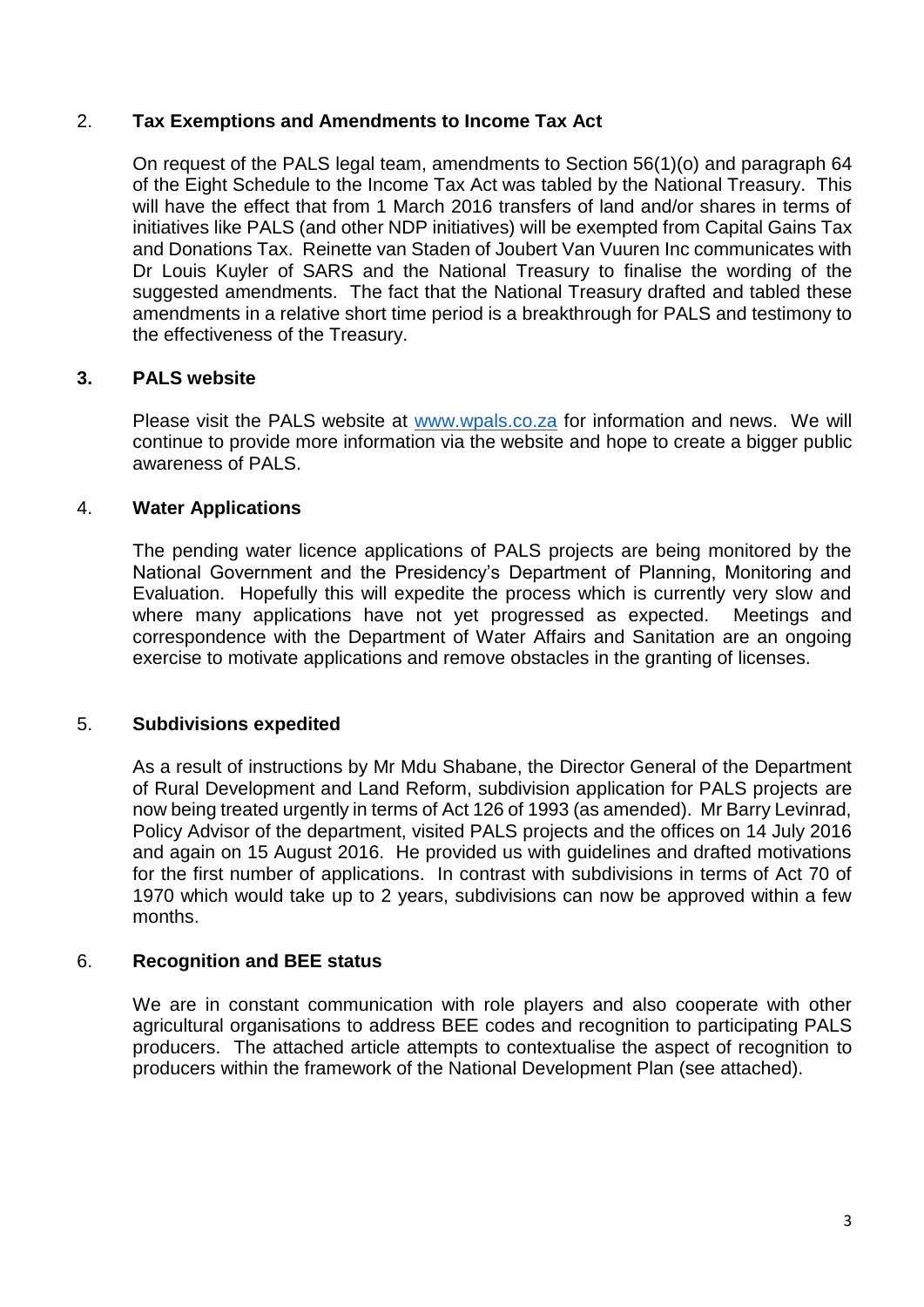# 2. **Tax Exemptions and Amendments to Income Tax Act**

On request of the PALS legal team, amendments to Section 56(1)(o) and paragraph 64 of the Eight Schedule to the Income Tax Act was tabled by the National Treasury. This will have the effect that from 1 March 2016 transfers of land and/or shares in terms of initiatives like PALS (and other NDP initiatives) will be exempted from Capital Gains Tax and Donations Tax. Reinette van Staden of Joubert Van Vuuren Inc communicates with Dr Louis Kuyler of SARS and the National Treasury to finalise the wording of the suggested amendments. The fact that the National Treasury drafted and tabled these amendments in a relative short time period is a breakthrough for PALS and testimony to the effectiveness of the Treasury.

# **3. PALS website**

Please visit the PALS website at [www.wpals.co.za](http://www.wpals.co.za/) for information and news. We will continue to provide more information via the website and hope to create a bigger public awareness of PALS.

# 4. **Water Applications**

The pending water licence applications of PALS projects are being monitored by the National Government and the Presidency's Department of Planning, Monitoring and Evaluation. Hopefully this will expedite the process which is currently very slow and where many applications have not yet progressed as expected. Meetings and correspondence with the Department of Water Affairs and Sanitation are an ongoing exercise to motivate applications and remove obstacles in the granting of licenses.

#### 5. **Subdivisions expedited**

As a result of instructions by Mr Mdu Shabane, the Director General of the Department of Rural Development and Land Reform, subdivision application for PALS projects are now being treated urgently in terms of Act 126 of 1993 (as amended). Mr Barry Levinrad, Policy Advisor of the department, visited PALS projects and the offices on 14 July 2016 and again on 15 August 2016. He provided us with guidelines and drafted motivations for the first number of applications. In contrast with subdivisions in terms of Act 70 of 1970 which would take up to 2 years, subdivisions can now be approved within a few months.

#### 6. **Recognition and BEE status**

We are in constant communication with role players and also cooperate with other agricultural organisations to address BEE codes and recognition to participating PALS producers. The attached article attempts to contextualise the aspect of recognition to producers within the framework of the National Development Plan (see attached).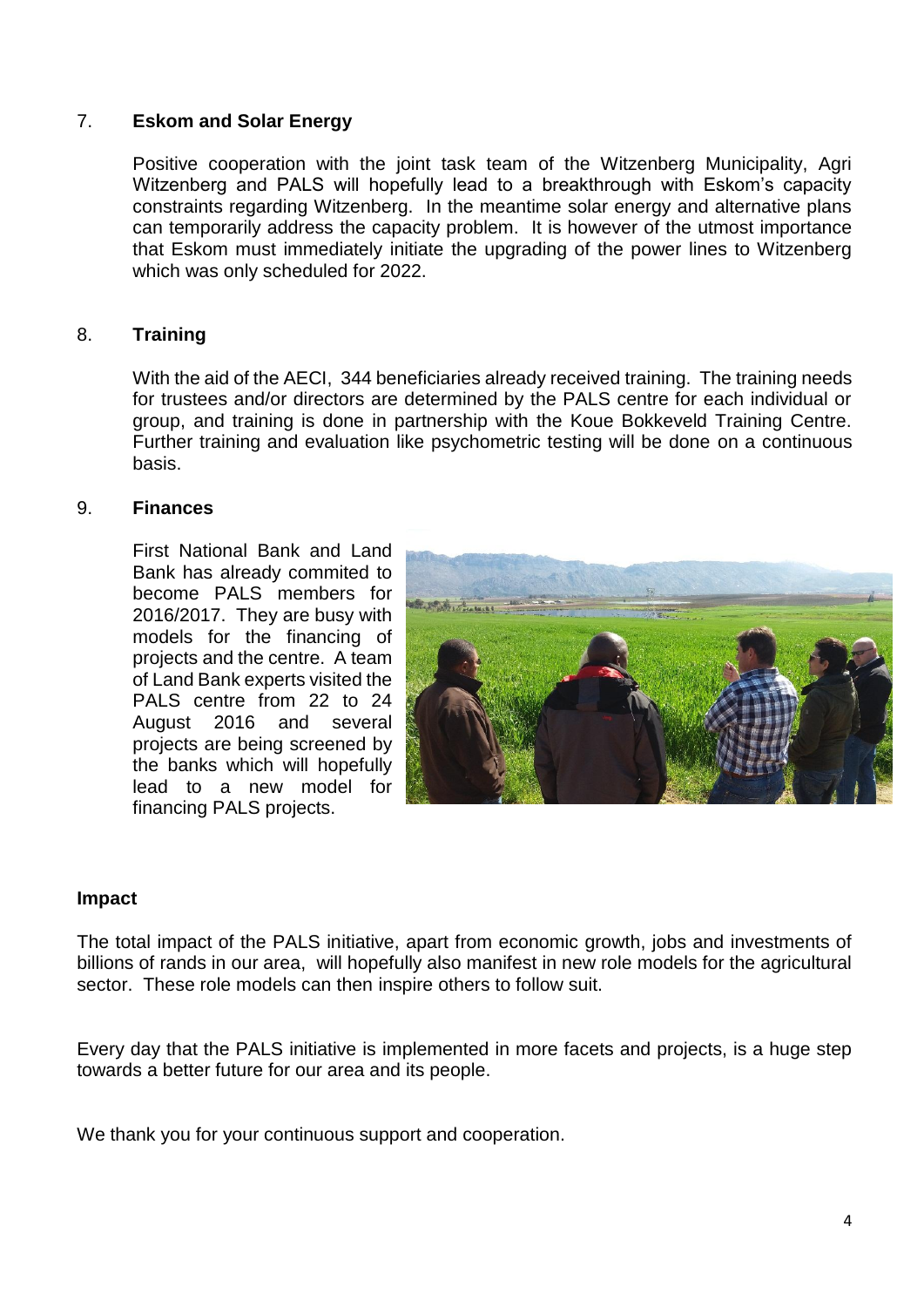# 7. **Eskom and Solar Energy**

Positive cooperation with the joint task team of the Witzenberg Municipality, Agri Witzenberg and PALS will hopefully lead to a breakthrough with Eskom's capacity constraints regarding Witzenberg. In the meantime solar energy and alternative plans can temporarily address the capacity problem. It is however of the utmost importance that Eskom must immediately initiate the upgrading of the power lines to Witzenberg which was only scheduled for 2022.

# 8. **Training**

With the aid of the AECI, 344 beneficiaries already received training. The training needs for trustees and/or directors are determined by the PALS centre for each individual or group, and training is done in partnership with the Koue Bokkeveld Training Centre. Further training and evaluation like psychometric testing will be done on a continuous basis.

#### 9. **Finances**

First National Bank and Land Bank has already commited to become PALS members for 2016/2017. They are busy with models for the financing of projects and the centre. A team of Land Bank experts visited the PALS centre from 22 to 24 August 2016 and several projects are being screened by the banks which will hopefully lead to a new model for financing PALS projects.



#### **Impact**

The total impact of the PALS initiative, apart from economic growth, jobs and investments of billions of rands in our area, will hopefully also manifest in new role models for the agricultural sector. These role models can then inspire others to follow suit.

Every day that the PALS initiative is implemented in more facets and projects, is a huge step towards a better future for our area and its people.

We thank you for your continuous support and cooperation.